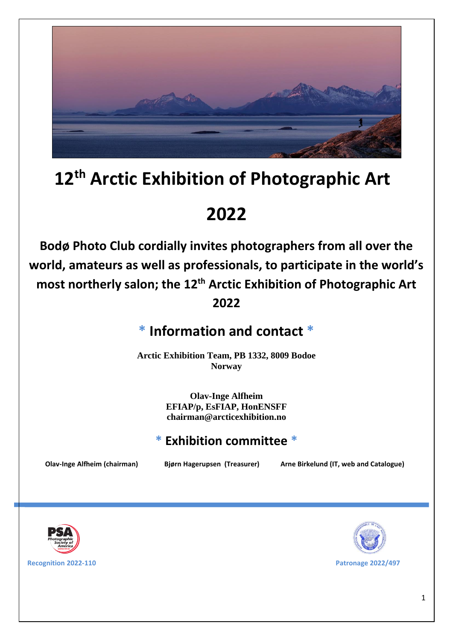

# **12th Arctic Exhibition of Photographic Art**

**2022**

**Bodø Photo Club cordially invites photographers from all over the world, amateurs as well as professionals, to participate in the world's most northerly salon; the 12th Arctic Exhibition of Photographic Art 2022**

# **\* Information and contact \***

**Arctic Exhibition Team, PB 1332, 8009 Bodoe Norway**

> **Olav-Inge Alfheim EFIAP/p, EsFIAP, HonENSFF chairman@arcticexhibition.no**

### **\* Exhibition committee \***

**Olav-Inge Alfheim (chairman) Bjørn Hagerupsen (Treasurer) Arne Birkelund (IT, web and Catalogue)**





**Recognition 2022-110 Patronage 2022/497**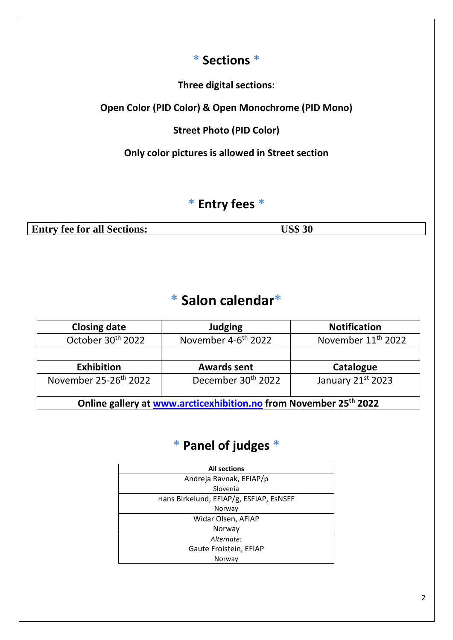### **\* Sections \***

**Three digital sections:**

**Open Color (PID Color) & Open Monochrome (PID Mono)**

**Street Photo (PID Color)**

**Only color pictures is allowed in Street section**

### **\* Entry fees \***

**Entry fee for all Sections: US\$ 30**

# **\* Salon calendar\***

| <b>Closing date</b>                                                           | <b>Judging</b>                  | <b>Notification</b>            |  |  |  |  |
|-------------------------------------------------------------------------------|---------------------------------|--------------------------------|--|--|--|--|
| October 30th 2022                                                             | November 4-6 <sup>th</sup> 2022 | November 11 <sup>th</sup> 2022 |  |  |  |  |
|                                                                               |                                 |                                |  |  |  |  |
| <b>Exhibition</b>                                                             | <b>Awards sent</b>              | Catalogue                      |  |  |  |  |
| November 25-26 <sup>th</sup> 2022                                             | December 30 <sup>th</sup> 2022  | January 21st 2023              |  |  |  |  |
| Online gallery at www.arcticexhibition.no from November 25 <sup>th</sup> 2022 |                                 |                                |  |  |  |  |

### **\* Panel of judges \***

| <b>All sections</b>                     |  |  |  |  |
|-----------------------------------------|--|--|--|--|
| Andreja Ravnak, EFIAP/p                 |  |  |  |  |
| Slovenia                                |  |  |  |  |
| Hans Birkelund, EFIAP/g, ESFIAP, EsNSFF |  |  |  |  |
| Norway                                  |  |  |  |  |
| Widar Olsen, AFIAP                      |  |  |  |  |
| Norway                                  |  |  |  |  |
| Alternate:                              |  |  |  |  |
| Gaute Froistein, EFIAP                  |  |  |  |  |
| Norway                                  |  |  |  |  |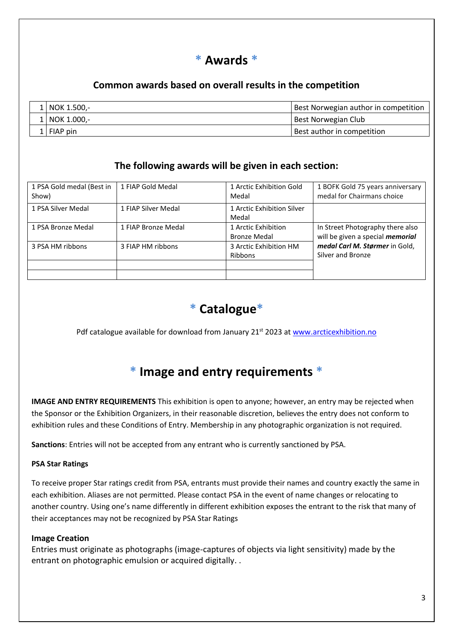

#### **Common awards based on overall results in the competition**

| L   NOK 1.500.- | Best Norwegian author in competition |
|-----------------|--------------------------------------|
| 1   NOK 1.000,- | Best Norwegian Club                  |
| 1   FIAP pin    | Best author in competition           |

#### **The following awards will be given in each section:**

| 1 PSA Gold medal (Best in<br>Show) | 1 FIAP Gold Medal   | 1 Arctic Exhibition Gold<br>Medal          | 1 BOFK Gold 75 years anniversary<br>medal for Chairmans choice              |
|------------------------------------|---------------------|--------------------------------------------|-----------------------------------------------------------------------------|
| 1 PSA Silver Medal                 | 1 FIAP Silver Medal | 1 Arctic Exhibition Silver<br>Medal        |                                                                             |
| 1 PSA Bronze Medal                 | 1 FIAP Bronze Medal | 1 Arctic Exhibition<br><b>Bronze Medal</b> | In Street Photography there also<br>will be given a special <i>memorial</i> |
| 3 PSA HM ribbons                   | 3 FIAP HM ribbons   | 3 Arctic Exhibition HM<br><b>Ribbons</b>   | medal Carl M. Størmer in Gold,<br>Silver and Bronze                         |
|                                    |                     |                                            |                                                                             |



Pdf catalogue available for download from January 21<sup>st</sup> 2023 at [www.arcticexhibition.no](http://www.arcticexhibition.no/)

### **\* Image and entry requirements \***

**IMAGE AND ENTRY REQUIREMENTS** This exhibition is open to anyone; however, an entry may be rejected when the Sponsor or the Exhibition Organizers, in their reasonable discretion, believes the entry does not conform to exhibition rules and these Conditions of Entry. Membership in any photographic organization is not required.

**Sanctions**: Entries will not be accepted from any entrant who is currently sanctioned by PSA.

#### **PSA Star Ratings**

To receive proper Star ratings credit from PSA, entrants must provide their names and country exactly the same in each exhibition. Aliases are not permitted. Please contact PSA in the event of name changes or relocating to another country. Using one's name differently in different exhibition exposes the entrant to the risk that many of their acceptances may not be recognized by PSA Star Ratings

#### **Image Creation**

Entries must originate as photographs (image-captures of objects via light sensitivity) made by the entrant on photographic emulsion or acquired digitally. .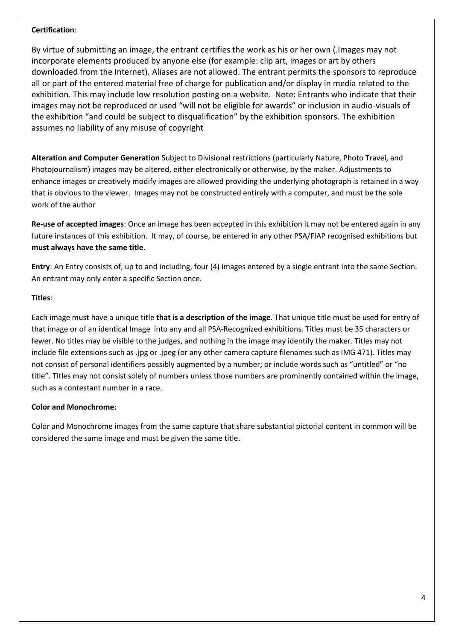#### **Certification**:

By virtue of submitting an image, the entrant certifies the work as his or her own (.Images may not incorporate elements produced by anyone else (for example: clip art, images or art by others downloaded from the Internet). Aliases are not allowed. The entrant permits the sponsors to reproduce all or part of the entered material free of charge for publication and/or display in media related to the exhibition. This may include low resolution posting on a website. Note: Entrants who indicate that their images may not be reproduced or used "will not be eligible for awards" or inclusion in audio-visuals of the exhibition "and could be subject to disqualification" by the exhibition sponsors. The exhibition assumes no liability of any misuse of copyright

**Alteration and Computer Generation** Subject to Divisional restrictions (particularly Nature, Photo Travel, and Photojournalism) images may be altered, either electronically or otherwise, by the maker. Adjustments to enhance images or creatively modify images are allowed providing the underlying photograph is retained in a way that is obvious to the viewer. Images may not be constructed entirely with a computer, and must be the sole work of the author

**Re-use of accepted images**: Once an image has been accepted in this exhibition it may not be entered again in any future instances of this exhibition. It may, of course, be entered in any other PSA/FIAP recognised exhibitions but **must always have the same title**.

**Entry**: An Entry consists of, up to and including, four (4) images entered by a single entrant into the same Section. An entrant may only enter a specific Section once.

#### **Titles**:

Each image must have a unique title **that is a description of the image**. That unique title must be used for entry of that image or of an identical Image into any and all PSA-Recognized exhibitions. Titles must be 35 characters or fewer. No titles may be visible to the judges, and nothing in the image may identify the maker. Titles may not include file extensions such as .jpg or .jpeg (or any other camera capture filenames such as IMG 471). Titles may not consist of personal identifiers possibly augmented by a number; or include words such as "untitled" or "no title". Titles may not consist solely of numbers unless those numbers are prominently contained within the image, such as a contestant number in a race.

#### **Color and Monochrome:**

Color and Monochrome images from the same capture that share substantial pictorial content in common will be considered the same image and must be given the same title.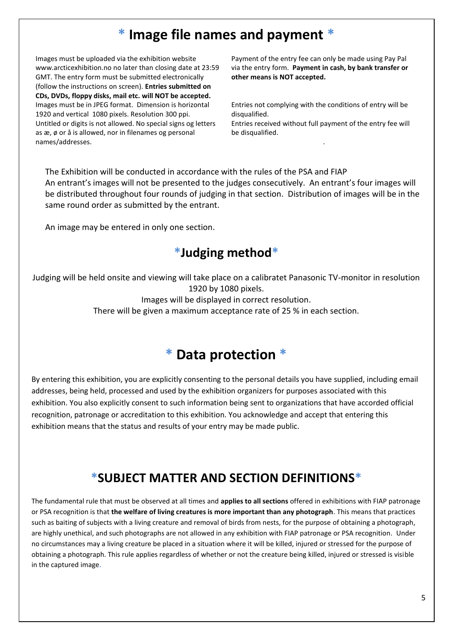### **\* Image file names and payment \***

Images must be uploaded via the exhibition website www.arcticexhibition.no no later than closing date at 23:59 GMT. The entry form must be submitted electronically (follow the instructions on screen). **Entries submitted on CDs, DVDs, floppy disks, mail etc. will NOT be accepted.** Images must be in JPEG format. Dimension is horizontal 1920 and vertical 1080 pixels. Resolution 300 ppi. Untitled or digits is not allowed. No special signs og letters as æ, ø or å is allowed, nor in filenames og personal names/addresses.

Payment of the entry fee can only be made using Pay Pal via the entry form. **Payment in cash, by bank transfer or other means is NOT accepted.**

Entries not complying with the conditions of entry will be disqualified.

Entries received without full payment of the entry fee will be disqualified.

.

The Exhibition will be conducted in accordance with the rules of the PSA and FIAP An entrant's images will not be presented to the judges consecutively. An entrant's four images will be distributed throughout four rounds of judging in that section. Distribution of images will be in the same round order as submitted by the entrant.

An image may be entered in only one section.

### **\*Judging method\***

Judging will be held onsite and viewing will take place on a calibratet Panasonic TV-monitor in resolution 1920 by 1080 pixels.

Images will be displayed in correct resolution.

There will be given a maximum acceptance rate of 25 % in each section.

### **\* Data protection \***

By entering this exhibition, you are explicitly consenting to the personal details you have supplied, including email addresses, being held, processed and used by the exhibition organizers for purposes associated with this exhibition. You also explicitly consent to such information being sent to organizations that have accorded official recognition, patronage or accreditation to this exhibition. You acknowledge and accept that entering this exhibition means that the status and results of your entry may be made public.

### **\*SUBJECT MATTER AND SECTION DEFINITIONS\***

The fundamental rule that must be observed at all times and **applies to all sections** offered in exhibitions with FIAP patronage or PSA recognition is that **the welfare of living creatures is more important than any photograph**. This means that practices such as baiting of subjects with a living creature and removal of birds from nests, for the purpose of obtaining a photograph, are highly unethical, and such photographs are not allowed in any exhibition with FIAP patronage or PSA recognition. Under no circumstances may a living creature be placed in a situation where it will be killed, injured or stressed for the purpose of obtaining a photograph. This rule applies regardless of whether or not the creature being killed, injured or stressed is visible in the captured image.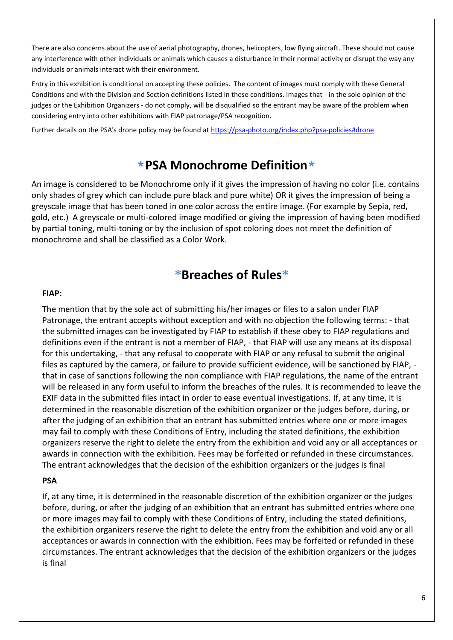There are also concerns about the use of aerial photography, drones, helicopters, low flying aircraft. These should not cause any interference with other individuals or animals which causes a disturbance in their normal activity or disrupt the way any individuals or animals interact with their environment.

Entry in this exhibition is conditional on accepting these policies. The content of images must comply with these General Conditions and with the Division and Section definitions listed in these conditions. Images that - in the sole opinion of the judges or the Exhibition Organizers - do not comply, will be disqualified so the entrant may be aware of the problem when considering entry into other exhibitions with FIAP patronage/PSA recognition.

Further details on the PSA's drone policy may be found at [https://psa-photo.org/index.php?psa-policies#drone](https://psa-photo.org/index.php?psa-policies%23drone)

### **\*PSA Monochrome Definition\***

An image is considered to be Monochrome only if it gives the impression of having no color (i.e. contains only shades of grey which can include pure black and pure white) OR it gives the impression of being a greyscale image that has been toned in one color across the entire image. (For example by Sepia, red, gold, etc.) A greyscale or multi-colored image modified or giving the impression of having been modified by partial toning, multi-toning or by the inclusion of spot coloring does not meet the definition of monochrome and shall be classified as a Color Work.

### **\*Breaches of Rules\***

#### **FIAP:**

The mention that by the sole act of submitting his/her images or files to a salon under FIAP Patronage, the entrant accepts without exception and with no objection the following terms: - that the submitted images can be investigated by FIAP to establish if these obey to FIAP regulations and definitions even if the entrant is not a member of FIAP, - that FIAP will use any means at its disposal for this undertaking, - that any refusal to cooperate with FIAP or any refusal to submit the original files as captured by the camera, or failure to provide sufficient evidence, will be sanctioned by FIAP, that in case of sanctions following the non compliance with FIAP regulations, the name of the entrant will be released in any form useful to inform the breaches of the rules. It is recommended to leave the EXIF data in the submitted files intact in order to ease eventual investigations. If, at any time, it is determined in the reasonable discretion of the exhibition organizer or the judges before, during, or after the judging of an exhibition that an entrant has submitted entries where one or more images may fail to comply with these Conditions of Entry, including the stated definitions, the exhibition organizers reserve the right to delete the entry from the exhibition and void any or all acceptances or awards in connection with the exhibition. Fees may be forfeited or refunded in these circumstances. The entrant acknowledges that the decision of the exhibition organizers or the judges is final

#### **PSA**

If, at any time, it is determined in the reasonable discretion of the exhibition organizer or the judges before, during, or after the judging of an exhibition that an entrant has submitted entries where one or more images may fail to comply with these Conditions of Entry, including the stated definitions, the exhibition organizers reserve the right to delete the entry from the exhibition and void any or all acceptances or awards in connection with the exhibition. Fees may be forfeited or refunded in these circumstances. The entrant acknowledges that the decision of the exhibition organizers or the judges is final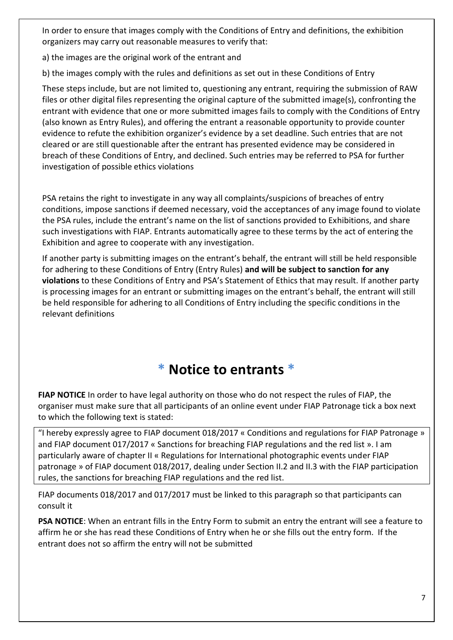In order to ensure that images comply with the Conditions of Entry and definitions, the exhibition organizers may carry out reasonable measures to verify that:

a) the images are the original work of the entrant and

b) the images comply with the rules and definitions as set out in these Conditions of Entry

These steps include, but are not limited to, questioning any entrant, requiring the submission of RAW files or other digital files representing the original capture of the submitted image(s), confronting the entrant with evidence that one or more submitted images fails to comply with the Conditions of Entry (also known as Entry Rules), and offering the entrant a reasonable opportunity to provide counter evidence to refute the exhibition organizer's evidence by a set deadline. Such entries that are not cleared or are still questionable after the entrant has presented evidence may be considered in breach of these Conditions of Entry, and declined. Such entries may be referred to PSA for further investigation of possible ethics violations

PSA retains the right to investigate in any way all complaints/suspicions of breaches of entry conditions, impose sanctions if deemed necessary, void the acceptances of any image found to violate the PSA rules, include the entrant's name on the list of sanctions provided to Exhibitions, and share such investigations with FIAP. Entrants automatically agree to these terms by the act of entering the Exhibition and agree to cooperate with any investigation.

If another party is submitting images on the entrant's behalf, the entrant will still be held responsible for adhering to these Conditions of Entry (Entry Rules) **and will be subject to sanction for any violations** to these Conditions of Entry and PSA's Statement of Ethics that may result. If another party is processing images for an entrant or submitting images on the entrant's behalf, the entrant will still be held responsible for adhering to all Conditions of Entry including the specific conditions in the relevant definitions

# **\* Notice to entrants \***

**FIAP NOTICE** In order to have legal authority on those who do not respect the rules of FIAP, the organiser must make sure that all participants of an online event under FIAP Patronage tick a box next to which the following text is stated:

"I hereby expressly agree to FIAP document 018/2017 « Conditions and regulations for FIAP Patronage » and FIAP document 017/2017 « Sanctions for breaching FIAP regulations and the red list ». I am particularly aware of chapter II « Regulations for International photographic events under FIAP patronage » of FIAP document 018/2017, dealing under Section II.2 and II.3 with the FIAP participation rules, the sanctions for breaching FIAP regulations and the red list.

FIAP documents 018/2017 and 017/2017 must be linked to this paragraph so that participants can consult it

**PSA NOTICE**: When an entrant fills in the Entry Form to submit an entry the entrant will see a feature to affirm he or she has read these Conditions of Entry when he or she fills out the entry form. If the entrant does not so affirm the entry will not be submitted